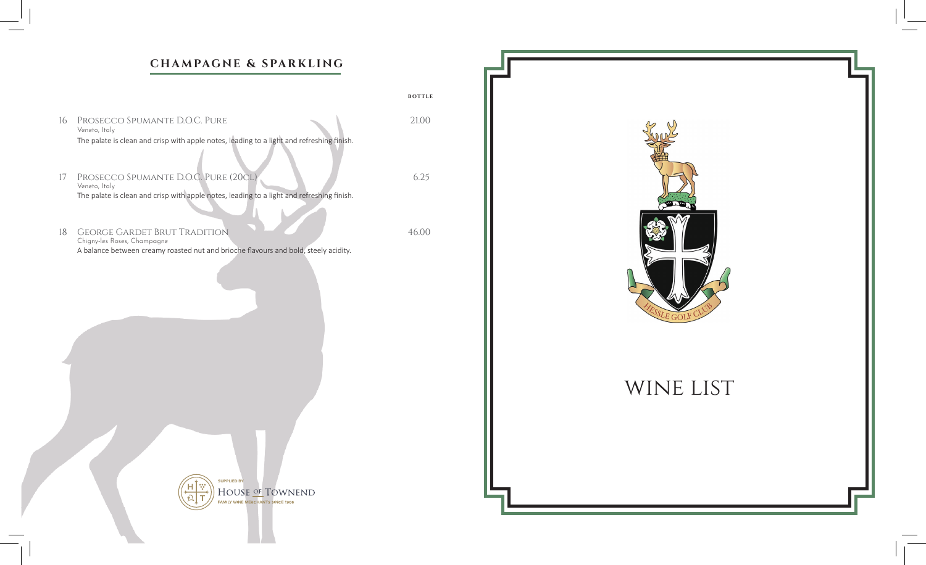## **CHAMPAGNE & SPARKLING**